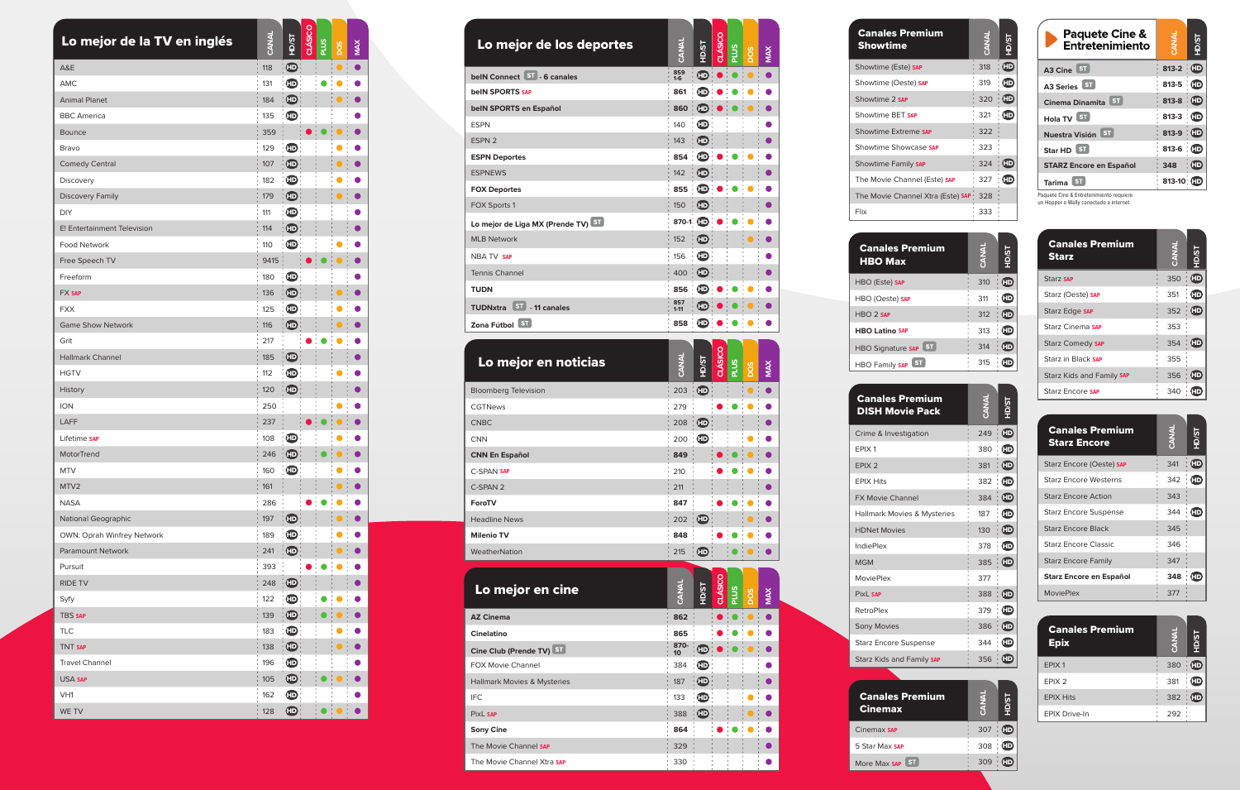| remium<br>Ę           | <b>ENR.</b> | <b>IS/GH</b>                              |
|-----------------------|-------------|-------------------------------------------|
| e) SAP                | 318         | $\bm{\mathbb{\Phi}}$                      |
| ste) SAP              | 319         | $\bm{\mathbb{\Phi}}$                      |
| Þ                     | 320         | $\boldsymbol{\mathbb{\boldsymbol{\Phi}}}$ |
| <b>SAP</b>            | 321         | $\bf \Phi$                                |
| eme SAP               | 322         |                                           |
| wcase SAP             | 323         |                                           |
| ily SAP               | 324         | $\bm{\mathbb{\Phi}}$                      |
| annel (Este) SAP      | 327         | $\bf \Phi$                                |
| annel Xtra (Este) SAP | 328         |                                           |
|                       | 333         |                                           |

| <b>Canales Premium</b><br><b>Starz</b> | I<br>ANA | Š         |
|----------------------------------------|----------|-----------|
| Starz SAP                              | 350      | (HD       |
| Starz (Oeste) SAP                      | 351      | Œ         |
| Starz Edge SAP                         | 352      | <b>HD</b> |
| Starz Cinema SAP                       | 353      |           |
| <b>Starz Comedy SAP</b>                | 354      | Œ         |
| Starz in Black SAP                     | 355      |           |
| Starz Kids and Family SAP              | 356      | (HD       |
| Starz Encore SAP                       | 340      |           |

| Lo mejor de los deportes               | CANAL                   | <b>IS/GH</b>                                | <b>CLÁSICO</b> | <b>PLUS</b> | pos        | <b>MAX</b> |
|----------------------------------------|-------------------------|---------------------------------------------|----------------|-------------|------------|------------|
| belN Connect ST - 6 canales            | 859<br>1-6              | ⊕                                           |                |             |            | $\bullet$  |
| <b>beIN SPORTS SAP</b>                 | 861                     | $\boldsymbol{\mathbb{\boldsymbol{\oplus}}}$ |                |             |            |            |
| belN SPORTS en Español                 | 860                     | $\mathbf \oplus$                            |                |             |            | $\bullet$  |
| <b>ESPN</b>                            | 140                     | $\mathbf \oplus$                            |                |             |            | 0          |
| ESPN <sub>2</sub>                      | 143                     | $\mathbf \oplus$                            |                |             |            | D          |
| <b>ESPN Deportes</b>                   | 854                     | $\mathbf \oplus$                            |                |             |            | $\bullet$  |
| <b>ESPNEWS</b>                         | 142                     | $\mathbf{D}$                                |                |             |            | D          |
| <b>FOX Deportes</b>                    | 855<br>$\bar{1}$        | $\mathbf{CD}$                               |                |             |            |            |
| FOX Sports 1                           | 150                     | $\mathbf \oplus$                            |                |             |            |            |
| Lo mejor de Liga MX (Prende TV) ST     | 870-1 (FD               |                                             |                |             |            |            |
| <b>MLB Network</b>                     | 152                     | $\mathbf{D}$                                |                |             |            |            |
| <b>NBA TV SAP</b>                      | 156                     | $\mathbf{D}$                                |                |             |            |            |
| <b>Tennis Channel</b>                  | $400 -$                 | $\mathbf{F}$                                |                |             |            |            |
| <b>TUDN</b>                            | 856                     | $\mathbf{D}$                                |                |             |            |            |
| TUDNxtra ST - 11 canales               | 857                     | Œ                                           |                |             |            |            |
|                                        | $1 - 11$                |                                             |                |             |            |            |
| Zona Fútbol ST                         | 858                     | $\mathbf{D}$                                |                |             |            |            |
| Lo mejor en noticias                   | CANAI                   | <b>IS/GH</b>                                | CLÁSICO        | <b>PLUS</b> | <b>POS</b> | <b>NAX</b> |
| <b>Bloomberg Television</b>            | 203                     | $\mathbf{CD}$                               |                |             |            | $\bullet$  |
| <b>CGTNews</b>                         | 279                     |                                             |                |             |            |            |
| <b>CNBC</b>                            | 208                     | $\mathbf{E}$                                |                |             |            | D          |
| <b>CNN</b>                             | 200                     | $\mathbf{D}$                                |                |             |            |            |
| <b>CNN En Español</b>                  | 849                     |                                             |                |             |            |            |
| <b>C-SPAN SAP</b>                      | 210                     |                                             |                |             |            |            |
| C-SPAN 2                               | 211                     |                                             |                |             |            |            |
| ForoTV                                 | 847                     |                                             |                |             |            |            |
| <b>Headline News</b>                   | 202                     | $\mathbf{F}$                                |                |             |            |            |
| <b>Milenio TV</b>                      | 848                     |                                             |                |             |            |            |
| WeatherNation                          | 215                     | $\mathbf{D}$                                |                |             |            |            |
| Lo mejor en cine                       | <b>CANAL</b>            | <b>LS/GH</b>                                | CLÁSIC         | <b>PLUS</b> | SOG        | MAX        |
| <b>AZ Cinema</b>                       | 862                     |                                             |                |             |            |            |
| Cinelatino                             | 865                     |                                             |                |             |            |            |
| Cine Club (Prende TV) ST               | 870-<br>10 <sup>°</sup> | $\mathbf \oplus$                            |                |             |            |            |
| <b>FOX Movie Channel</b>               | 384                     | $\mathbf{D}$                                |                |             |            |            |
| <b>Hallmark Movies &amp; Mysteries</b> | 187                     | $\mathbf \oplus$                            |                |             |            |            |
| <b>IFC</b>                             | 133                     | $\mathbf \oplus$                            |                |             |            |            |
| PixL SAP                               | 388                     | $\mathbf \oplus$                            |                |             |            |            |
| <b>Sony Cine</b>                       | 864                     |                                             |                |             |            |            |
| The Movie Channel SAP                  | 329                     |                                             |                |             |            |            |
| The Movie Channel Xtra SAP             | 330                     |                                             |                |             |            |            |

| <b>Canales Premium</b><br><b>Starz Encore</b> | <b>INAK</b> | гs<br>Эн  |
|-----------------------------------------------|-------------|-----------|
| Starz Encore (Oeste) SAP                      | 341         | <b>HD</b> |
| <b>Starz Encore Westerns</b>                  | 342         | Œ         |
| <b>Starz Encore Action</b>                    | 343         |           |
| <b>Starz Encore Suspense</b>                  | 344         |           |
| <b>Starz Encore Black</b>                     | 345         |           |
| <b>Starz Encore Classic</b>                   | 346         |           |
| <b>Starz Encore Family</b>                    | 347         |           |
| Starz Encore en Español                       | 348         |           |
| <b>MoviePlex</b>                              | 377         |           |

| <b>Canales Premium</b><br><b>Showtime</b> | <b>ANY ALL</b> |
|-------------------------------------------|----------------|
| Showtime (Este) SAP                       | 318            |
| Showtime (Oeste) SAP                      | 319            |
| Showtime 2 SAP                            | 320            |
| Showtime RFT SAP                          | 321            |
| Showtime Extreme SAP                      | 322            |
| Showtime Showcase SAP                     | 323            |
| Showtime Family SAP                       | 324            |
| The Movie Channel (Este) SAP              | 327            |
| The Movie Channel Xtra (Este) SAP         | 328            |
| Flix                                      | 333            |
|                                           |                |
| <b>Canales Premium</b>                    |                |

| Lo mejor de la TV en inglés | CANAL | <b>TS/GH</b>                                | CLÁSICO | <b>PLUS</b> | <b>POS</b> | <b>NAX</b> |
|-----------------------------|-------|---------------------------------------------|---------|-------------|------------|------------|
| A&E                         | 118   | $\mathbf \oplus$                            |         |             | $\bullet$  | $\bullet$  |
| <b>AMC</b>                  | 131   | $\bm \oplus$                                |         |             |            | ●          |
| <b>Animal Planet</b>        | 184   | $\mathbf \oplus$                            |         |             | $\bullet$  |            |
| <b>BBC</b> America          | 135   | $\mathbf \oplus$                            |         |             |            | D          |
| <b>Bounce</b>               | 359   |                                             |         |             |            | $\bullet$  |
| Bravo                       | 129   | $\mathbf{D}$                                |         |             |            | $\bullet$  |
| <b>Comedy Central</b>       | 107   | $\mathbf \oplus$                            |         |             | $\bullet$  | $\bullet$  |
| Discovery                   | 182   | $\bm{\mathbb{\Phi}}$                        |         |             |            | D          |
| <b>Discovery Family</b>     | 179   | $\mathbf \oplus$                            |         |             | $\bullet$  | $\bullet$  |
| <b>DIY</b>                  | 111   | $\bf \bf \Phi$                              |         |             |            |            |
| E! Entertainment Television | 114   | $\boldsymbol{\mathbb{\boldsymbol{\Phi}}}$   |         |             |            | $\bullet$  |
| <b>Food Network</b>         | 110   | $\mathbf \oplus$                            |         |             |            |            |
| Free Speech TV              | 9415  |                                             | ●       | $\bullet$   | $\bullet$  | $\bullet$  |
| Freeform                    | 180   | $\mathbf \oplus$                            |         |             |            |            |
| <b>FX SAP</b>               | 136   | $\mathbf \oplus$                            |         |             | $\bullet$  | D          |
| <b>FXX</b>                  | 125   | $\bm \oplus$                                |         |             |            | 0          |
| <b>Game Show Network</b>    | 116   | $\bm{\mathbb{\boldsymbol{\oplus}}}$         |         |             |            |            |
| Grit                        | 217   |                                             |         |             |            |            |
| <b>Hallmark Channel</b>     | 185   | $\mathbf \oplus$                            |         |             |            | $\bullet$  |
| <b>HGTV</b>                 | 112   | $\boldsymbol{\mathbb{\boldsymbol{\oplus}}}$ |         |             |            | $\bullet$  |
| History                     | 120   | $\mathbf \oplus$                            |         |             |            | 0          |
| <b>ION</b>                  | 250   |                                             |         |             |            | D          |
| LAFF                        | 237   |                                             |         |             |            | D          |
| Lifetime SAP                | 108   | $\mathbf \oplus$                            |         |             |            |            |
| MotorTrend                  | 246   | $\mathbf \oplus$                            |         |             |            | D          |
| <b>MTV</b>                  | 160   | $\boldsymbol{\mathbf{\oplus}}$              |         |             |            |            |
| MTV2                        | : 161 |                                             |         |             |            |            |
| <b>NASA</b>                 | 286   |                                             |         |             |            | D          |
| <b>National Geographic</b>  | 197   | $\bm{\mathbb{\boldsymbol{\oplus}}}$         |         |             |            |            |
| OWN: Oprah Winfrey Network  | 189   | $\bm \oplus$                                |         |             |            |            |
| Paramount Network           | 241   | $\boldsymbol{\mathbb{\boldsymbol{\Phi}}}$   |         |             | $\bullet$  |            |
| Pursuit                     | 393   |                                             |         |             |            |            |
| RIDE TV                     | 248   | $\bm{\mathbb{\boldsymbol{\oplus}}}$         |         |             |            |            |
| Syfy                        | 122   | $\mathbf \oplus$                            |         | O           |            | $\bullet$  |
| TBS SAP                     | 139   | $\bm \oplus$                                |         |             | $\bullet$  |            |
| <b>TLC</b>                  | 183   | $\bm \oplus$                                |         |             | O          | $\bullet$  |
| TNT SAP                     | 138   | $\boldsymbol{\mathbb{\boldsymbol{\omega}}}$ |         |             | $\bullet$  | 0          |
| <b>Travel Channel</b>       | 196   | $\mathbf \oplus$                            |         |             |            |            |
| USA SAP                     | 105   | $\bm \oplus$                                |         |             | $\bullet$  | D          |
| VH1                         | 162   | $\bm{\mathbb{\boldsymbol{\oplus}}}$         |         |             |            |            |
| WE TV                       | 128   | $\bm \oplus$                                |         |             |            |            |

| <b>Canales Premium</b><br><b>DISH Movie Pack</b> | <b>IANA:</b> | IS/GH                                       |
|--------------------------------------------------|--------------|---------------------------------------------|
| Crime & Investigation                            | 249          | $\boldsymbol{\mathbb{\boldsymbol{\oplus}}}$ |
| FPIX <sub>1</sub>                                | 380          | $\boldsymbol{\mathbb{\boldsymbol{\Phi}}}$   |
| EPIX <sub>2</sub>                                | 381          | $\boldsymbol{\mathbb{\boldsymbol{\omega}}}$ |
| <b>FPIX Hits</b>                                 | 382          | $\bm \oplus$                                |
| <b>FX Movie Channel</b>                          | 384          | $\bm \oplus$                                |
| Hallmark Movies & Mysteries                      | 187          | $\boldsymbol{\mathbb{\boldsymbol{\Phi}}}$   |
| <b>HDNet Movies</b>                              | 130          | $\boldsymbol{\mathbb{\boldsymbol{\Theta}}}$ |
| <b>IndiePlex</b>                                 | 378          |                                             |
| <b>MGM</b>                                       | 385          | $\boldsymbol{\mathbb{\boldsymbol{\Phi}}}$   |
| <b>MoviePlex</b>                                 | 377          |                                             |
| PixL SAP                                         | 388          | <b>HD</b>                                   |
| <b>RetroPlex</b>                                 | 379          | $\bm \oplus$                                |
| <b>Sony Movies</b>                               | 386          | Œ                                           |
| <b>Starz Encore Suspense</b>                     | 344          | ŒD                                          |
| Starz Kids and Family SAP                        | 356          | <b>HD</b>                                   |
|                                                  |              |                                             |
| <b>Canales Premium</b><br><u>Cinemax</u>         |              |                                             |

The Movie Channel Xtra **SA**

| <b>Canales Premium</b><br><b>Epix</b> | <b>CANAL</b> | <b>S</b>  |
|---------------------------------------|--------------|-----------|
| EPIX <sub>1</sub>                     | 380          | <b>HD</b> |
| EPIX <sub>2</sub>                     | 381          | Œ         |
| <b>EPIX Hits</b>                      | 382          | (HD       |
| <b>EPIX Drive-In</b>                  | 292          |           |

| es Premium<br>Max       | CANAL | <b>TS/GH</b>   |
|-------------------------|-------|----------------|
| e) SAP                  | 310   | $\bf\bf\Phi$   |
| ste) SAP                | 311   | Ð              |
| P                       | 312   | : o            |
| <b>NO SAP</b>           | 313   | Ð              |
| <b>ST</b><br>nature SAP | 314   | $\mathbf{D}$   |
| <b>ST</b><br>ily SAP    | 315   | $\bf \bf \Phi$ |

| <b>HBO Max</b>              |
|-----------------------------|
| HBO (Este) SAP              |
| HBO (Oeste) SAP             |
| $HRO$ $2$ SAP               |
| <b>HBO Latino SAP</b>       |
| <b>HBO Signature SAP</b>    |
| <b>ST</b><br>HBO Family SAP |
|                             |
|                             |

Cinemax **SA** 5 Star Max **SA**

More Max **SAP** ST

| s Premium<br>ìХ | <b>CANAL</b> | <b>LS/GH</b>   |
|-----------------|--------------|----------------|
| Þ               | 307          | $\Box$         |
| <b>SAP</b>      | 308          | $\blacksquare$ |
| ST<br><b>AP</b> | 309          | HD)            |

| <b>Paquete Cine &amp;</b><br>Entretenimiento |              | <b>IS/GH</b>  |
|----------------------------------------------|--------------|---------------|
|                                              |              |               |
| A3 Cine                                      | $813 - 2$    | $\mathbf{CD}$ |
| A3 Series ST                                 | 813-5        | ு             |
| Cinema Dinamita ST                           | 813-8        | $\mathbf{CD}$ |
| Hola TV ST                                   | $813 - 3$    | ் (ந          |
| Nuestra Visión ST                            | 813-9        | ŒD            |
| Star HD 51                                   | $813-6$ : CD |               |
| <b>STARZ Encore en Español</b>               | 348          | GD            |
| <b>Tarima</b>                                | 813-10; HD   |               |

Paquete Cine & Entretenimiento requiere un Hopper o Wally conectado a internet.